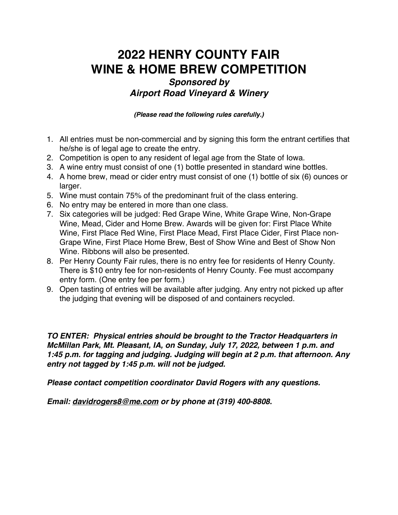## **2022 HENRY COUNTY FAIR WINE & HOME BREW COMPETITION**

## *Sponsored by Airport Road Vineyard & Winery*

*(Please read the following rules carefully.)*

- 1. All entries must be non-commercial and by signing this form the entrant certifies that he/she is of legal age to create the entry.
- 2. Competition is open to any resident of legal age from the State of Iowa.
- 3. A wine entry must consist of one (1) bottle presented in standard wine bottles.
- 4. A home brew, mead or cider entry must consist of one (1) bottle of six (6) ounces or larger.
- 5. Wine must contain 75% of the predominant fruit of the class entering.
- 6. No entry may be entered in more than one class.
- 7. Six categories will be judged: Red Grape Wine, White Grape Wine, Non-Grape Wine, Mead, Cider and Home Brew. Awards will be given for: First Place White Wine, First Place Red Wine, First Place Mead, First Place Cider, First Place non-Grape Wine, First Place Home Brew, Best of Show Wine and Best of Show Non Wine. Ribbons will also be presented.
- 8. Per Henry County Fair rules, there is no entry fee for residents of Henry County. There is \$10 entry fee for non-residents of Henry County. Fee must accompany entry form. (One entry fee per form.)
- 9. Open tasting of entries will be available after judging. Any entry not picked up after the judging that evening will be disposed of and containers recycled.

*TO ENTER: Physical entries should be brought to the Tractor Headquarters in McMillan Park, Mt. Pleasant, IA, on Sunday, July 17, 2022, between 1 p.m. and 1:45 p.m. for tagging and judging. Judging will begin at 2 p.m. that afternoon. Any entry not tagged by 1:45 p.m. will not be judged.*

*Please contact competition coordinator David Rogers with any questions.*

*Email: davidrogers8@me.com or by phone at (319) 400-8808.*